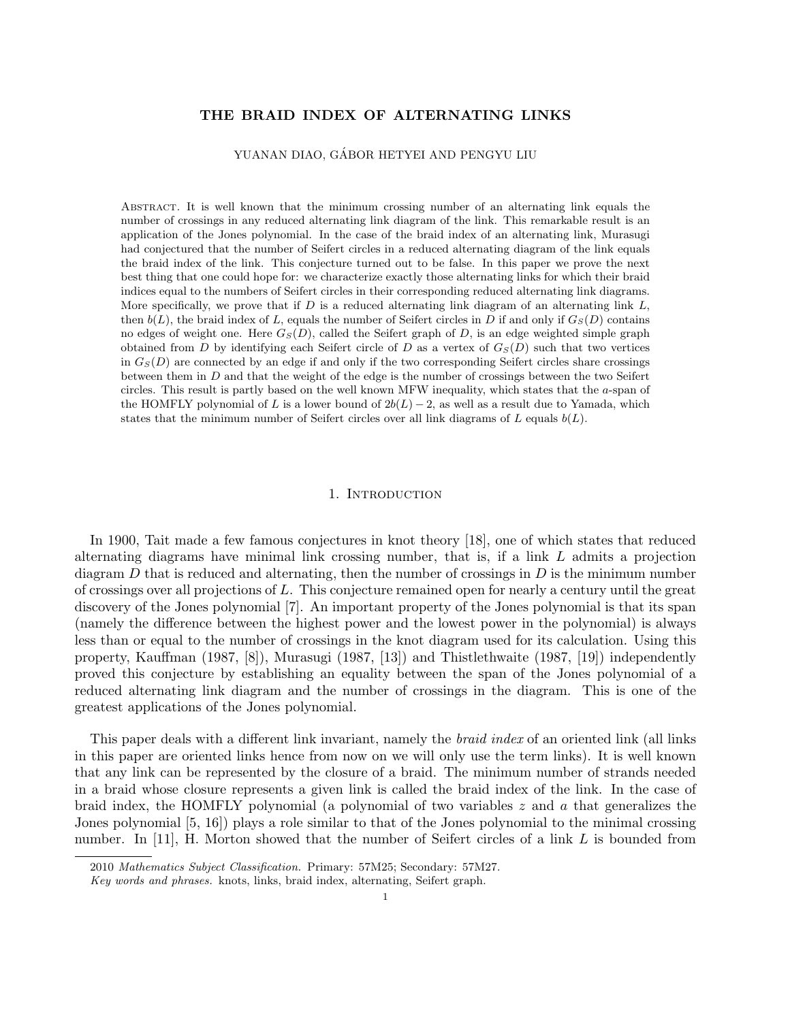# THE BRAID INDEX OF ALTERNATING LINKS

YUANAN DIAO, GABOR HETYEI AND PENGYU LIU ´

Abstract. It is well known that the minimum crossing number of an alternating link equals the number of crossings in any reduced alternating link diagram of the link. This remarkable result is an application of the Jones polynomial. In the case of the braid index of an alternating link, Murasugi had conjectured that the number of Seifert circles in a reduced alternating diagram of the link equals the braid index of the link. This conjecture turned out to be false. In this paper we prove the next best thing that one could hope for: we characterize exactly those alternating links for which their braid indices equal to the numbers of Seifert circles in their corresponding reduced alternating link diagrams. More specifically, we prove that if  $D$  is a reduced alternating link diagram of an alternating link  $L$ , then  $b(L)$ , the braid index of L, equals the number of Seifert circles in D if and only if  $G<sub>S</sub>(D)$  contains no edges of weight one. Here  $G_S(D)$ , called the Seifert graph of D, is an edge weighted simple graph obtained from D by identifying each Seifert circle of D as a vertex of  $G<sub>S</sub>(D)$  such that two vertices in  $G<sub>S</sub>(D)$  are connected by an edge if and only if the two corresponding Seifert circles share crossings between them in D and that the weight of the edge is the number of crossings between the two Seifert circles. This result is partly based on the well known MFW inequality, which states that the a-span of the HOMFLY polynomial of L is a lower bound of  $2b(L) - 2$ , as well as a result due to Yamada, which states that the minimum number of Seifert circles over all link diagrams of  $L$  equals  $b(L)$ .

### 1. Introduction

In 1900, Tait made a few famous conjectures in knot theory [18], one of which states that reduced alternating diagrams have minimal link crossing number, that is, if a link L admits a projection diagram  $D$  that is reduced and alternating, then the number of crossings in  $D$  is the minimum number of crossings over all projections of L. This conjecture remained open for nearly a century until the great discovery of the Jones polynomial [7]. An important property of the Jones polynomial is that its span (namely the difference between the highest power and the lowest power in the polynomial) is always less than or equal to the number of crossings in the knot diagram used for its calculation. Using this property, Kauffman (1987, [8]), Murasugi (1987, [13]) and Thistlethwaite (1987, [19]) independently proved this conjecture by establishing an equality between the span of the Jones polynomial of a reduced alternating link diagram and the number of crossings in the diagram. This is one of the greatest applications of the Jones polynomial.

This paper deals with a different link invariant, namely the braid index of an oriented link (all links in this paper are oriented links hence from now on we will only use the term links). It is well known that any link can be represented by the closure of a braid. The minimum number of strands needed in a braid whose closure represents a given link is called the braid index of the link. In the case of braid index, the HOMFLY polynomial (a polynomial of two variables  $z$  and  $a$  that generalizes the Jones polynomial [5, 16]) plays a role similar to that of the Jones polynomial to the minimal crossing number. In [11], H. Morton showed that the number of Seifert circles of a link L is bounded from

<sup>2010</sup> Mathematics Subject Classification. Primary: 57M25; Secondary: 57M27.

Key words and phrases. knots, links, braid index, alternating, Seifert graph.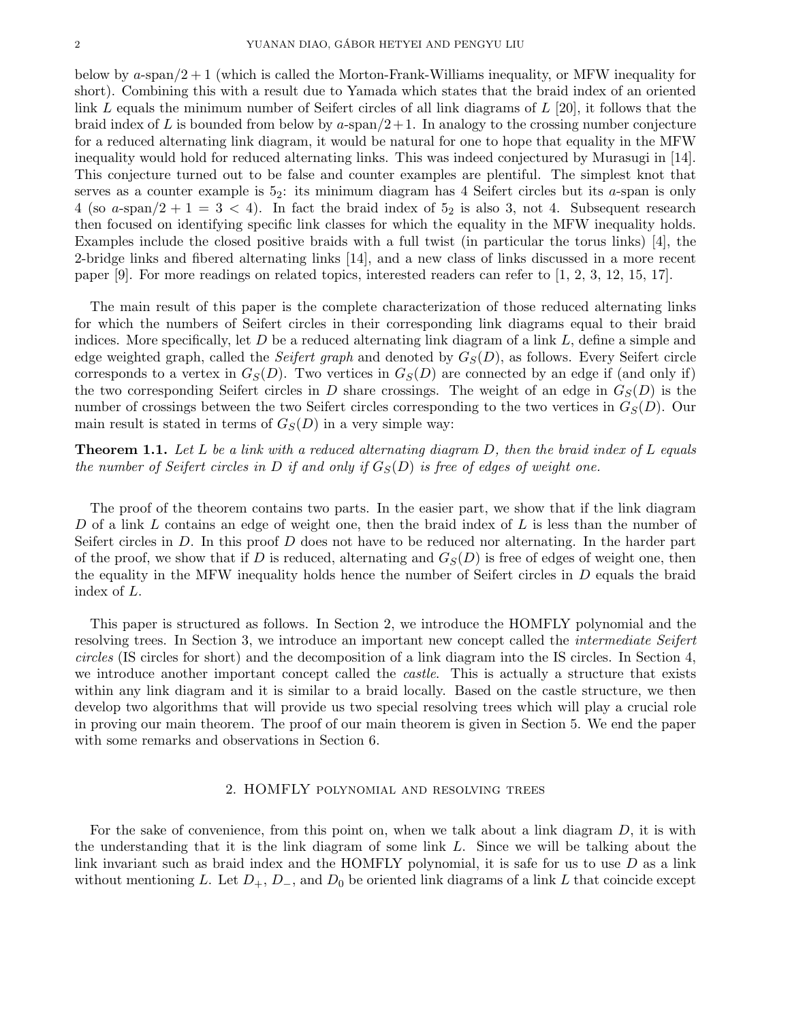below by a-span/2 + 1 (which is called the Morton-Frank-Williams inequality, or MFW inequality for short). Combining this with a result due to Yamada which states that the braid index of an oriented link L equals the minimum number of Seifert circles of all link diagrams of  $L$  [20], it follows that the braid index of L is bounded from below by a-span $/2+1$ . In analogy to the crossing number conjecture for a reduced alternating link diagram, it would be natural for one to hope that equality in the MFW inequality would hold for reduced alternating links. This was indeed conjectured by Murasugi in [14]. This conjecture turned out to be false and counter examples are plentiful. The simplest knot that serves as a counter example is  $5<sub>2</sub>$ : its minimum diagram has 4 Seifert circles but its a-span is only 4 (so a-span/2 + 1 = 3 < 4). In fact the braid index of  $5<sub>2</sub>$  is also 3, not 4. Subsequent research then focused on identifying specific link classes for which the equality in the MFW inequality holds. Examples include the closed positive braids with a full twist (in particular the torus links) [4], the 2-bridge links and fibered alternating links [14], and a new class of links discussed in a more recent paper [9]. For more readings on related topics, interested readers can refer to [1, 2, 3, 12, 15, 17].

The main result of this paper is the complete characterization of those reduced alternating links for which the numbers of Seifert circles in their corresponding link diagrams equal to their braid indices. More specifically, let  $D$  be a reduced alternating link diagram of a link  $L$ , define a simple and edge weighted graph, called the Seifert graph and denoted by  $G<sub>S</sub>(D)$ , as follows. Every Seifert circle corresponds to a vertex in  $G_S(D)$ . Two vertices in  $G_S(D)$  are connected by an edge if (and only if) the two corresponding Seifert circles in D share crossings. The weight of an edge in  $G<sub>S</sub>(D)$  is the number of crossings between the two Seifert circles corresponding to the two vertices in  $G<sub>S</sub>(D)$ . Our main result is stated in terms of  $G<sub>S</sub>(D)$  in a very simple way:

**Theorem 1.1.** Let L be a link with a reduced alternating diagram  $D$ , then the braid index of L equals the number of Seifert circles in D if and only if  $G_S(D)$  is free of edges of weight one.

The proof of the theorem contains two parts. In the easier part, we show that if the link diagram D of a link L contains an edge of weight one, then the braid index of L is less than the number of Seifert circles in D. In this proof D does not have to be reduced nor alternating. In the harder part of the proof, we show that if D is reduced, alternating and  $G<sub>S</sub>(D)$  is free of edges of weight one, then the equality in the MFW inequality holds hence the number of Seifert circles in D equals the braid index of L.

This paper is structured as follows. In Section 2, we introduce the HOMFLY polynomial and the resolving trees. In Section 3, we introduce an important new concept called the *intermediate Seifert* circles (IS circles for short) and the decomposition of a link diagram into the IS circles. In Section 4, we introduce another important concept called the *castle*. This is actually a structure that exists within any link diagram and it is similar to a braid locally. Based on the castle structure, we then develop two algorithms that will provide us two special resolving trees which will play a crucial role in proving our main theorem. The proof of our main theorem is given in Section 5. We end the paper with some remarks and observations in Section 6.

### 2. HOMFLY polynomial and resolving trees

For the sake of convenience, from this point on, when we talk about a link diagram  $D$ , it is with the understanding that it is the link diagram of some link L. Since we will be talking about the link invariant such as braid index and the HOMFLY polynomial, it is safe for us to use  $D$  as a link without mentioning L. Let  $D_+$ ,  $D_-$ , and  $D_0$  be oriented link diagrams of a link L that coincide except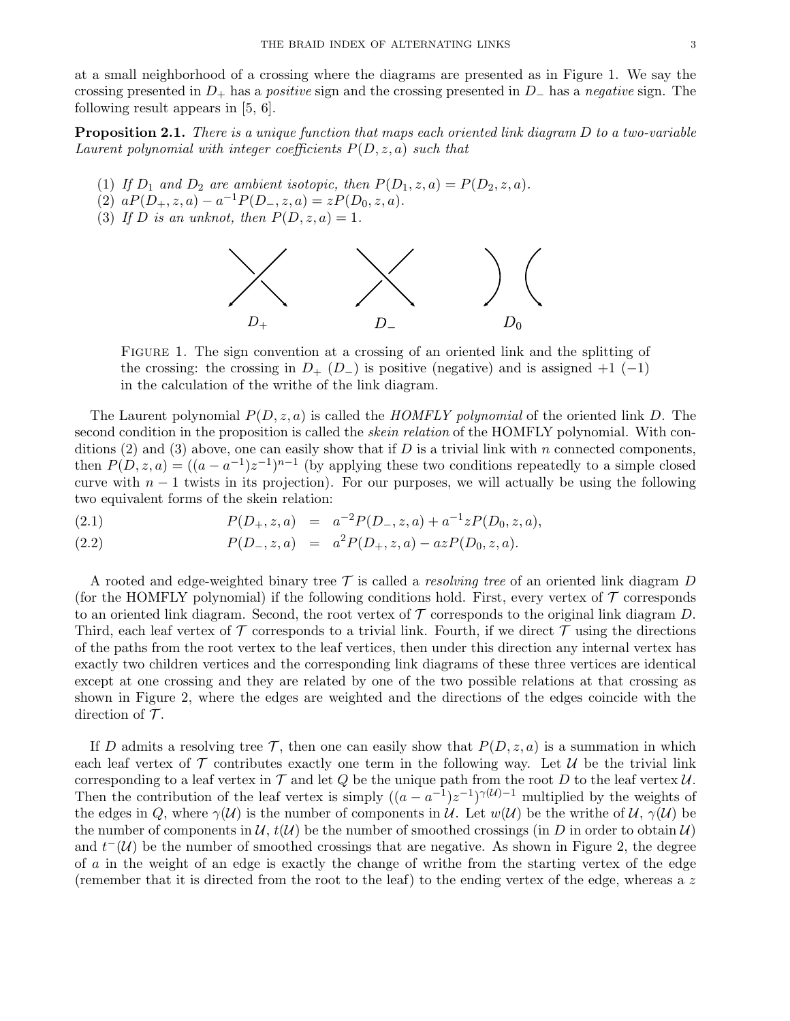at a small neighborhood of a crossing where the diagrams are presented as in Figure 1. We say the crossing presented in  $D_+$  has a *positive* sign and the crossing presented in  $D_-$  has a negative sign. The following result appears in [5, 6].

**Proposition 2.1.** There is a unique function that maps each oriented link diagram D to a two-variable Laurent polynomial with integer coefficients  $P(D, z, a)$  such that

- (1) If  $D_1$  and  $D_2$  are ambient isotopic, then  $P(D_1, z, a) = P(D_2, z, a)$ .
- (2)  $aP(D_+, z, a) a^{-1}P(D_-, z, a) = zP(D_0, z, a).$
- (3) If D is an unknot, then  $P(D, z, a) = 1$ .



Figure 1. The sign convention at a crossing of an oriented link and the splitting of the crossing: the crossing in  $D_+$  ( $D_-$ ) is positive (negative) and is assigned  $+1$  (-1) in the calculation of the writhe of the link diagram.

The Laurent polynomial  $P(D, z, a)$  is called the HOMFLY polynomial of the oriented link D. The second condition in the proposition is called the *skein relation* of the HOMFLY polynomial. With conditions (2) and (3) above, one can easily show that if D is a trivial link with n connected components, then  $P(D, z, a) = ((a - a^{-1})z^{-1})^{n-1}$  (by applying these two conditions repeatedly to a simple closed curve with  $n-1$  twists in its projection). For our purposes, we will actually be using the following two equivalent forms of the skein relation:

(2.1)  $P(D_+, z, a) = a^{-2} P(D_-, z, a) + a^{-1} z P(D_0, z, a),$ 

(2.2) 
$$
P(D_-, z, a) = a^2 P(D_+, z, a) - a z P(D_0, z, a).
$$

A rooted and edge-weighted binary tree  $\mathcal T$  is called a *resolving tree* of an oriented link diagram D (for the HOMFLY polynomial) if the following conditions hold. First, every vertex of  $\mathcal T$  corresponds to an oriented link diagram. Second, the root vertex of  $\mathcal T$  corresponds to the original link diagram  $D$ . Third, each leaf vertex of  $\mathcal T$  corresponds to a trivial link. Fourth, if we direct  $\mathcal T$  using the directions of the paths from the root vertex to the leaf vertices, then under this direction any internal vertex has exactly two children vertices and the corresponding link diagrams of these three vertices are identical except at one crossing and they are related by one of the two possible relations at that crossing as shown in Figure 2, where the edges are weighted and the directions of the edges coincide with the direction of  $\mathcal T$ .

If D admits a resolving tree  $\mathcal{T}$ , then one can easily show that  $P(D, z, a)$  is a summation in which each leaf vertex of  $\mathcal T$  contributes exactly one term in the following way. Let  $\mathcal U$  be the trivial link corresponding to a leaf vertex in  $\mathcal T$  and let  $Q$  be the unique path from the root  $D$  to the leaf vertex  $\mathcal U$ . Then the contribution of the leaf vertex is simply  $((a - a^{-1})z^{-1})^{\gamma(\mathcal{U})-1}$  multiplied by the weights of the edges in Q, where  $\gamma(\mathcal{U})$  is the number of components in U. Let  $w(\mathcal{U})$  be the writhe of  $\mathcal{U}, \gamma(\mathcal{U})$  be the number of components in  $\mathcal{U}, t(\mathcal{U})$  be the number of smoothed crossings (in D in order to obtain  $\mathcal{U}$ ) and  $t^{-}(\mathcal{U})$  be the number of smoothed crossings that are negative. As shown in Figure 2, the degree of a in the weight of an edge is exactly the change of writhe from the starting vertex of the edge (remember that it is directed from the root to the leaf) to the ending vertex of the edge, whereas a z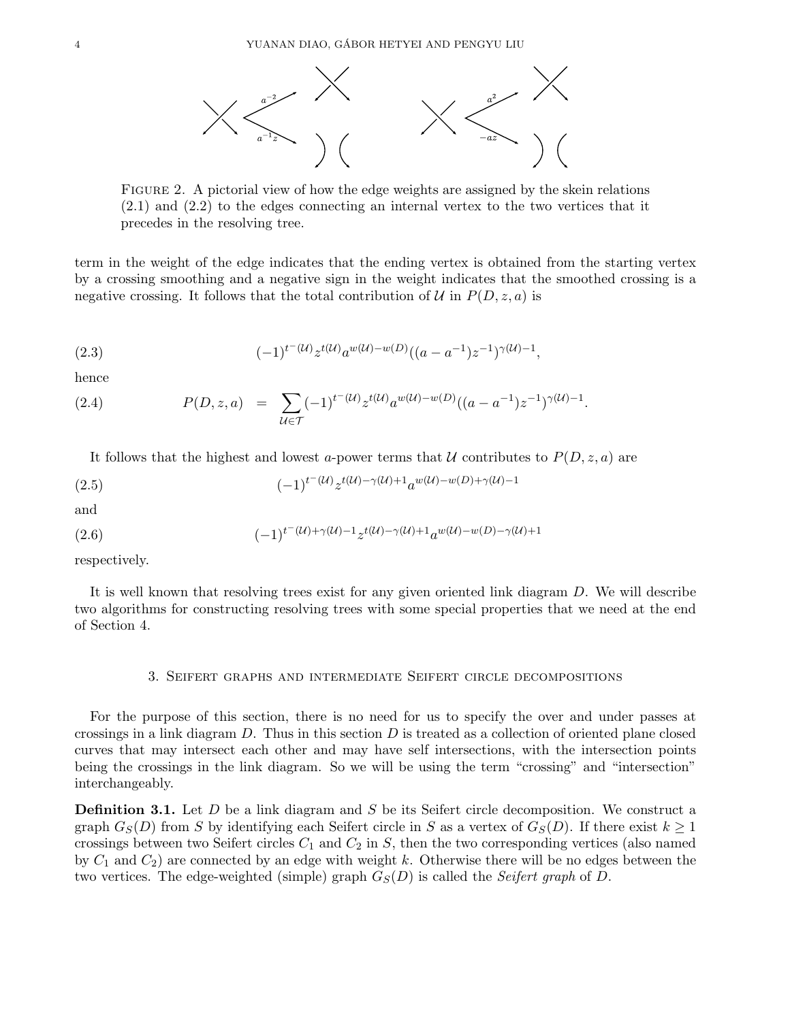

Figure 2. A pictorial view of how the edge weights are assigned by the skein relations (2.1) and (2.2) to the edges connecting an internal vertex to the two vertices that it precedes in the resolving tree.

term in the weight of the edge indicates that the ending vertex is obtained from the starting vertex by a crossing smoothing and a negative sign in the weight indicates that the smoothed crossing is a negative crossing. It follows that the total contribution of  $\mathcal U$  in  $P(D, z, a)$  is

(2.3) 
$$
(-1)^{t-(\mathcal{U})} z^{t(\mathcal{U})} a^{w(\mathcal{U}) - w(D)} ((a - a^{-1}) z^{-1})^{\gamma(\mathcal{U}) - 1},
$$

hence

(2.4) 
$$
P(D, z, a) = \sum_{\mathcal{U} \in \mathcal{T}} (-1)^{t^-(\mathcal{U})} z^{t(\mathcal{U})} a^{w(\mathcal{U}) - w(D)} ((a - a^{-1}) z^{-1})^{\gamma(\mathcal{U}) - 1}.
$$

It follows that the highest and lowest a-power terms that U contributes to  $P(D, z, a)$  are

(2.5) 
$$
(-1)^{t^{-(\mathcal{U})}} z^{t(\mathcal{U}) - \gamma(\mathcal{U}) + 1} a^{w(\mathcal{U}) - w(D) + \gamma(\mathcal{U}) - 1}
$$

and

(2.6) 
$$
(-1)^{t^{(t)}(\mathcal{U})+ \gamma(\mathcal{U})-1} z^{t(\mathcal{U})-\gamma(\mathcal{U})+1} a^{w(\mathcal{U})-w(D)-\gamma(\mathcal{U})+1}
$$

respectively.

It is well known that resolving trees exist for any given oriented link diagram D. We will describe two algorithms for constructing resolving trees with some special properties that we need at the end of Section 4.

# 3. Seifert graphs and intermediate Seifert circle decompositions

For the purpose of this section, there is no need for us to specify the over and under passes at crossings in a link diagram  $D$ . Thus in this section  $D$  is treated as a collection of oriented plane closed curves that may intersect each other and may have self intersections, with the intersection points being the crossings in the link diagram. So we will be using the term "crossing" and "intersection" interchangeably.

**Definition 3.1.** Let D be a link diagram and S be its Seifert circle decomposition. We construct a graph  $G_S(D)$  from S by identifying each Seifert circle in S as a vertex of  $G_S(D)$ . If there exist  $k \geq 1$ crossings between two Seifert circles  $C_1$  and  $C_2$  in  $S$ , then the two corresponding vertices (also named by  $C_1$  and  $C_2$ ) are connected by an edge with weight k. Otherwise there will be no edges between the two vertices. The edge-weighted (simple) graph  $G<sub>S</sub>(D)$  is called the Seifert graph of D.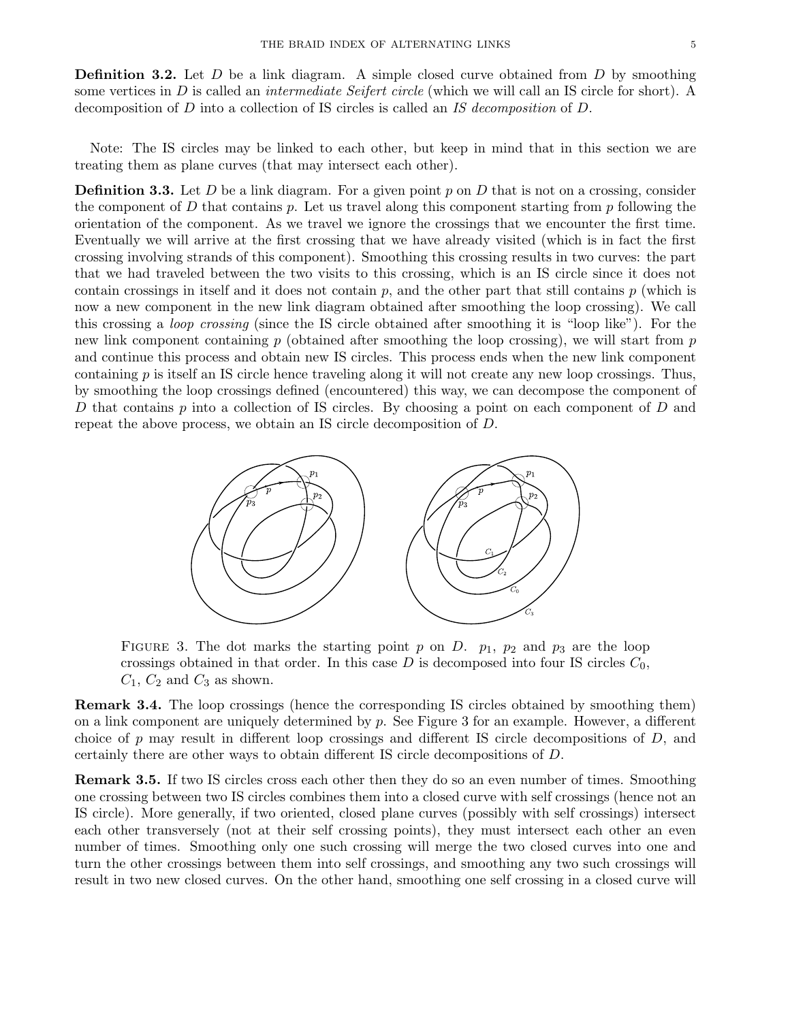**Definition 3.2.** Let  $D$  be a link diagram. A simple closed curve obtained from  $D$  by smoothing some vertices in D is called an *intermediate Seifert circle* (which we will call an IS circle for short). A decomposition of D into a collection of IS circles is called an IS decomposition of D.

Note: The IS circles may be linked to each other, but keep in mind that in this section we are treating them as plane curves (that may intersect each other).

**Definition 3.3.** Let D be a link diagram. For a given point p on D that is not on a crossing, consider the component of D that contains p. Let us travel along this component starting from p following the orientation of the component. As we travel we ignore the crossings that we encounter the first time. Eventually we will arrive at the first crossing that we have already visited (which is in fact the first crossing involving strands of this component). Smoothing this crossing results in two curves: the part that we had traveled between the two visits to this crossing, which is an IS circle since it does not contain crossings in itself and it does not contain  $p$ , and the other part that still contains  $p$  (which is now a new component in the new link diagram obtained after smoothing the loop crossing). We call this crossing a loop crossing (since the IS circle obtained after smoothing it is "loop like"). For the new link component containing  $p$  (obtained after smoothing the loop crossing), we will start from  $p$ and continue this process and obtain new IS circles. This process ends when the new link component containing  $p$  is itself an IS circle hence traveling along it will not create any new loop crossings. Thus, by smoothing the loop crossings defined (encountered) this way, we can decompose the component of D that contains p into a collection of IS circles. By choosing a point on each component of D and repeat the above process, we obtain an IS circle decomposition of D.



FIGURE 3. The dot marks the starting point p on D.  $p_1$ ,  $p_2$  and  $p_3$  are the loop crossings obtained in that order. In this case  $D$  is decomposed into four IS circles  $C_0$ ,  $C_1$ ,  $C_2$  and  $C_3$  as shown.

Remark 3.4. The loop crossings (hence the corresponding IS circles obtained by smoothing them) on a link component are uniquely determined by  $p$ . See Figure 3 for an example. However, a different choice of p may result in different loop crossings and different IS circle decompositions of  $D$ , and certainly there are other ways to obtain different IS circle decompositions of D.

Remark 3.5. If two IS circles cross each other then they do so an even number of times. Smoothing one crossing between two IS circles combines them into a closed curve with self crossings (hence not an IS circle). More generally, if two oriented, closed plane curves (possibly with self crossings) intersect each other transversely (not at their self crossing points), they must intersect each other an even number of times. Smoothing only one such crossing will merge the two closed curves into one and turn the other crossings between them into self crossings, and smoothing any two such crossings will result in two new closed curves. On the other hand, smoothing one self crossing in a closed curve will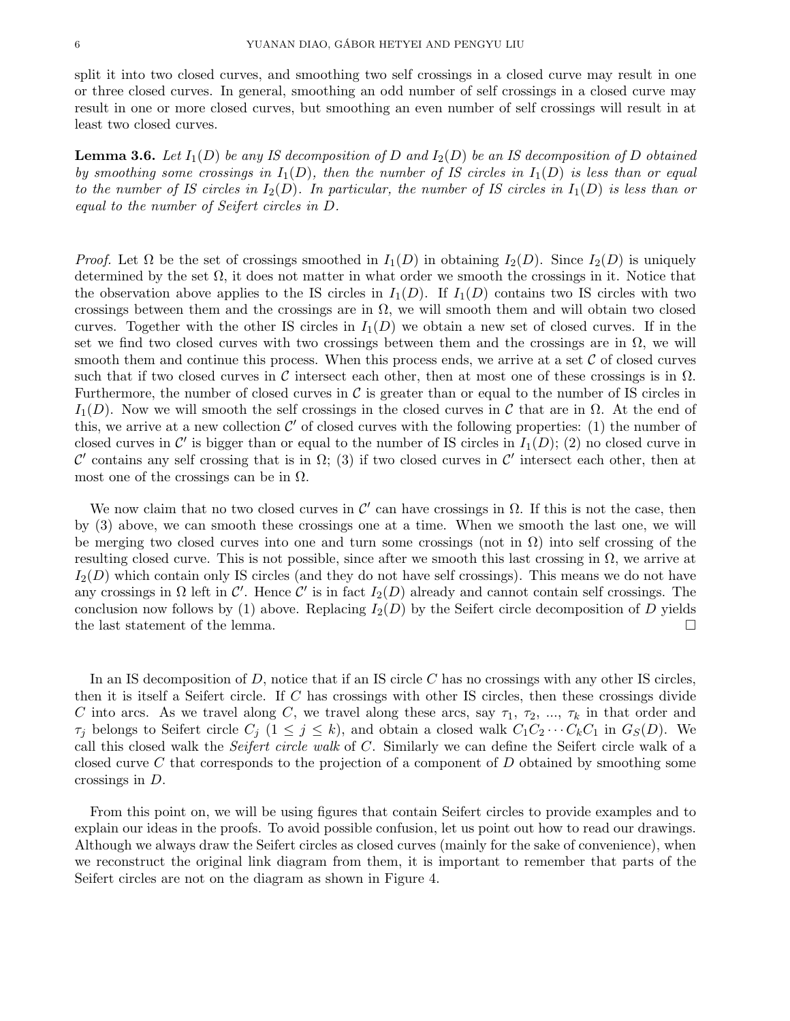split it into two closed curves, and smoothing two self crossings in a closed curve may result in one or three closed curves. In general, smoothing an odd number of self crossings in a closed curve may result in one or more closed curves, but smoothing an even number of self crossings will result in at least two closed curves.

**Lemma 3.6.** Let  $I_1(D)$  be any IS decomposition of D and  $I_2(D)$  be an IS decomposition of D obtained by smoothing some crossings in  $I_1(D)$ , then the number of IS circles in  $I_1(D)$  is less than or equal to the number of IS circles in  $I_2(D)$ . In particular, the number of IS circles in  $I_1(D)$  is less than or equal to the number of Seifert circles in D.

*Proof.* Let  $\Omega$  be the set of crossings smoothed in  $I_1(D)$  in obtaining  $I_2(D)$ . Since  $I_2(D)$  is uniquely determined by the set  $\Omega$ , it does not matter in what order we smooth the crossings in it. Notice that the observation above applies to the IS circles in  $I_1(D)$ . If  $I_1(D)$  contains two IS circles with two crossings between them and the crossings are in  $\Omega$ , we will smooth them and will obtain two closed curves. Together with the other IS circles in  $I_1(D)$  we obtain a new set of closed curves. If in the set we find two closed curves with two crossings between them and the crossings are in  $\Omega$ , we will smooth them and continue this process. When this process ends, we arrive at a set  $\mathcal C$  of closed curves such that if two closed curves in C intersect each other, then at most one of these crossings is in  $\Omega$ . Furthermore, the number of closed curves in  $\mathcal C$  is greater than or equal to the number of IS circles in  $I_1(D)$ . Now we will smooth the self crossings in the closed curves in C that are in  $\Omega$ . At the end of this, we arrive at a new collection  $\mathcal{C}'$  of closed curves with the following properties: (1) the number of closed curves in C' is bigger than or equal to the number of IS circles in  $I_1(D)$ ; (2) no closed curve in C' contains any self crossing that is in  $\Omega$ ; (3) if two closed curves in C' intersect each other, then at most one of the crossings can be in  $\Omega$ .

We now claim that no two closed curves in  $\mathcal{C}'$  can have crossings in  $\Omega$ . If this is not the case, then by (3) above, we can smooth these crossings one at a time. When we smooth the last one, we will be merging two closed curves into one and turn some crossings (not in  $\Omega$ ) into self crossing of the resulting closed curve. This is not possible, since after we smooth this last crossing in  $\Omega$ , we arrive at  $I_2(D)$  which contain only IS circles (and they do not have self crossings). This means we do not have any crossings in  $\Omega$  left in  $\mathcal{C}'$ . Hence  $\mathcal{C}'$  is in fact  $I_2(D)$  already and cannot contain self crossings. The conclusion now follows by (1) above. Replacing  $I_2(D)$  by the Seifert circle decomposition of D yields the last statement of the lemma.

In an IS decomposition of  $D$ , notice that if an IS circle  $C$  has no crossings with any other IS circles, then it is itself a Seifert circle. If  $C$  has crossings with other IS circles, then these crossings divide C into arcs. As we travel along C, we travel along these arcs, say  $\tau_1$ ,  $\tau_2$ , ...,  $\tau_k$  in that order and  $\tau_j$  belongs to Seifert circle  $C_j$   $(1 \leq j \leq k)$ , and obtain a closed walk  $C_1C_2 \cdots C_kC_1$  in  $G_S(D)$ . We call this closed walk the Seifert circle walk of C. Similarly we can define the Seifert circle walk of a closed curve C that corresponds to the projection of a component of  $D$  obtained by smoothing some crossings in D.

From this point on, we will be using figures that contain Seifert circles to provide examples and to explain our ideas in the proofs. To avoid possible confusion, let us point out how to read our drawings. Although we always draw the Seifert circles as closed curves (mainly for the sake of convenience), when we reconstruct the original link diagram from them, it is important to remember that parts of the Seifert circles are not on the diagram as shown in Figure 4.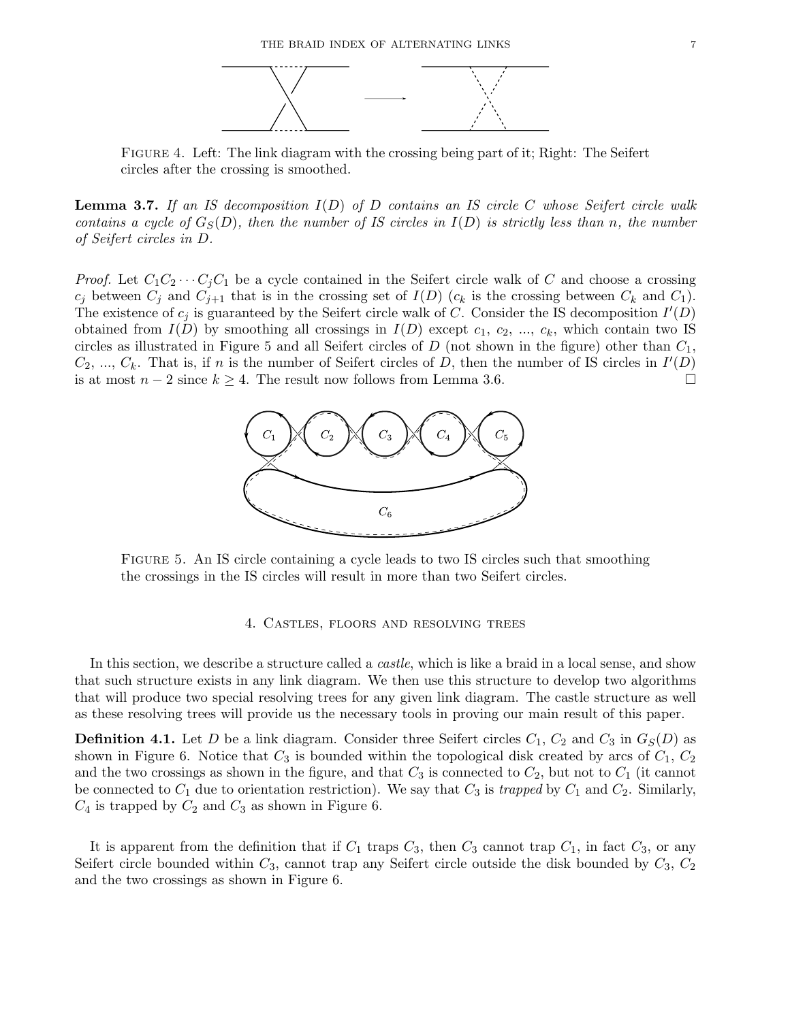

Figure 4. Left: The link diagram with the crossing being part of it; Right: The Seifert circles after the crossing is smoothed.

**Lemma 3.7.** If an IS decomposition  $I(D)$  of D contains an IS circle C whose Seifert circle walk contains a cycle of  $G_S(D)$ , then the number of IS circles in  $I(D)$  is strictly less than n, the number of Seifert circles in D.

*Proof.* Let  $C_1C_2 \cdots C_jC_1$  be a cycle contained in the Seifert circle walk of C and choose a crossing  $c_j$  between  $C_j$  and  $C_{j+1}$  that is in the crossing set of  $I(D)$  ( $c_k$  is the crossing between  $C_k$  and  $C_1$ ). The existence of  $c_j$  is guaranteed by the Seifert circle walk of C. Consider the IS decomposition  $I'(D)$ obtained from  $I(D)$  by smoothing all crossings in  $I(D)$  except  $c_1, c_2, ..., c_k$ , which contain two IS circles as illustrated in Figure 5 and all Seifert circles of  $D$  (not shown in the figure) other than  $C_1$ ,  $C_2, ..., C_k$ . That is, if n is the number of Seifert circles of D, then the number of IS circles in  $I'(D)$ is at most  $n-2$  since  $k \geq 4$ . The result now follows from Lemma 3.6.



Figure 5. An IS circle containing a cycle leads to two IS circles such that smoothing the crossings in the IS circles will result in more than two Seifert circles.

## 4. Castles, floors and resolving trees

In this section, we describe a structure called a *castle*, which is like a braid in a local sense, and show that such structure exists in any link diagram. We then use this structure to develop two algorithms that will produce two special resolving trees for any given link diagram. The castle structure as well as these resolving trees will provide us the necessary tools in proving our main result of this paper.

**Definition 4.1.** Let D be a link diagram. Consider three Seifert circles  $C_1$ ,  $C_2$  and  $C_3$  in  $G_S(D)$  as shown in Figure 6. Notice that  $C_3$  is bounded within the topological disk created by arcs of  $C_1, C_2$ and the two crossings as shown in the figure, and that  $C_3$  is connected to  $C_2$ , but not to  $C_1$  (it cannot be connected to  $C_1$  due to orientation restriction). We say that  $C_3$  is trapped by  $C_1$  and  $C_2$ . Similarly,  $C_4$  is trapped by  $C_2$  and  $C_3$  as shown in Figure 6.

It is apparent from the definition that if  $C_1$  traps  $C_3$ , then  $C_3$  cannot trap  $C_1$ , in fact  $C_3$ , or any Seifert circle bounded within  $C_3$ , cannot trap any Seifert circle outside the disk bounded by  $C_3$ ,  $C_2$ and the two crossings as shown in Figure 6.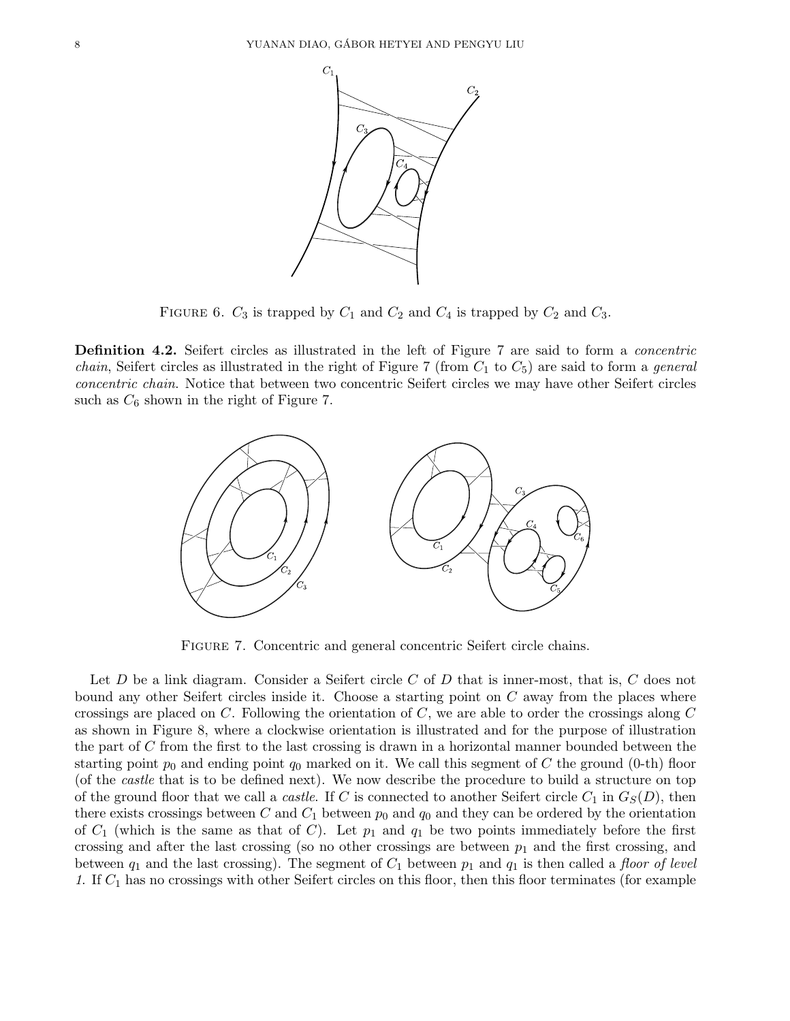

FIGURE 6.  $C_3$  is trapped by  $C_1$  and  $C_2$  and  $C_4$  is trapped by  $C_2$  and  $C_3$ .

Definition 4.2. Seifert circles as illustrated in the left of Figure 7 are said to form a *concentric chain*, Seifert circles as illustrated in the right of Figure 7 (from  $C_1$  to  $C_5$ ) are said to form a *general* concentric chain. Notice that between two concentric Seifert circles we may have other Seifert circles such as  $C_6$  shown in the right of Figure 7.



Figure 7. Concentric and general concentric Seifert circle chains.

Let  $D$  be a link diagram. Consider a Seifert circle  $C$  of  $D$  that is inner-most, that is,  $C$  does not bound any other Seifert circles inside it. Choose a starting point on  $C$  away from the places where crossings are placed on  $C$ . Following the orientation of  $C$ , we are able to order the crossings along  $C$ as shown in Figure 8, where a clockwise orientation is illustrated and for the purpose of illustration the part of C from the first to the last crossing is drawn in a horizontal manner bounded between the starting point  $p_0$  and ending point  $q_0$  marked on it. We call this segment of C the ground (0-th) floor (of the castle that is to be defined next). We now describe the procedure to build a structure on top of the ground floor that we call a *castle*. If C is connected to another Seifert circle  $C_1$  in  $G_S(D)$ , then there exists crossings between C and  $C_1$  between  $p_0$  and  $q_0$  and they can be ordered by the orientation of  $C_1$  (which is the same as that of C). Let  $p_1$  and  $q_1$  be two points immediately before the first crossing and after the last crossing (so no other crossings are between  $p_1$  and the first crossing, and between  $q_1$  and the last crossing). The segment of  $C_1$  between  $p_1$  and  $q_1$  is then called a floor of level 1. If  $C_1$  has no crossings with other Seifert circles on this floor, then this floor terminates (for example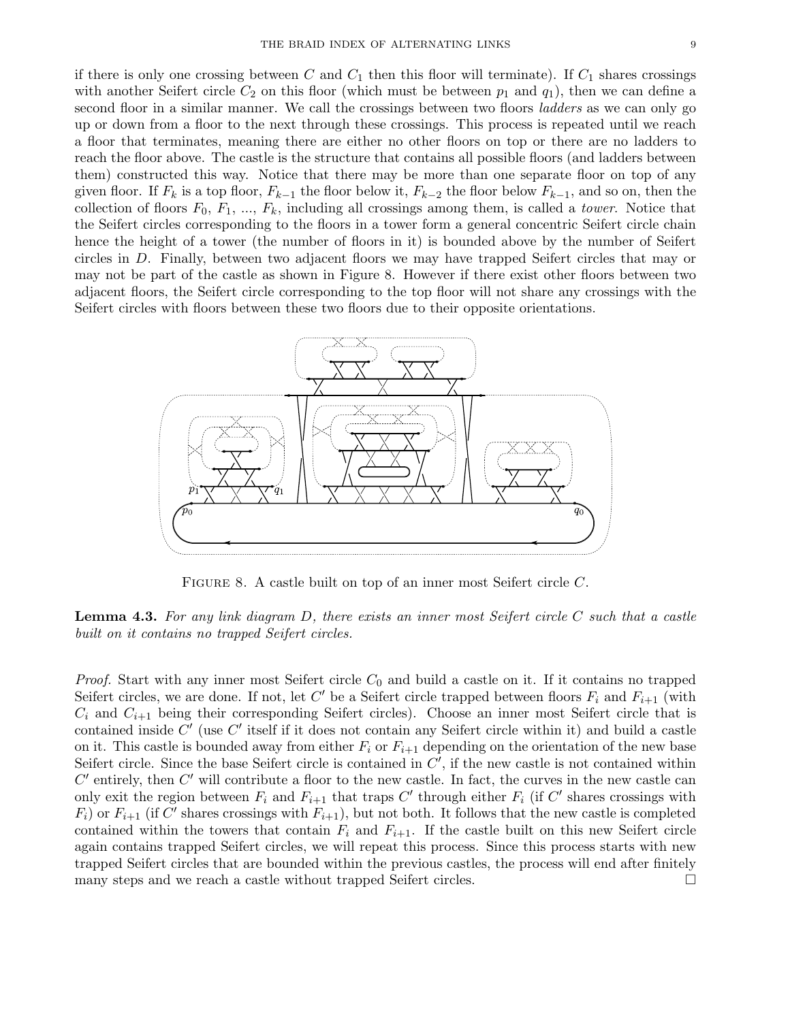them) constructed this way. Notice that there may be more than one separate floor on top of any given floor. If  $F_k$  is a top floor,  $F_{k-1}$  the floor below it,  $F_{k-2}$  the floor below  $F_{k-1}$ , and so on, then the collection of floors  $F_0, F_1, ..., F_k$ , including all crossings among them, is called a *tower*. Notice that the Seifert circles corresponding to the floors in a tower form a general concentric Seifert circle chain hence the height of a tower (the number of floors in it) is bounded above by the number of Seifert circles in D. Finally, between two adjacent floors we may have trapped Seifert circles that may or may not be part of the castle as shown in Figure 8. However if there exist other floors between two adjacent floors, the Seifert circle corresponding to the top floor will not share any crossings with the Seifert circles with floors between these two floors due to their opposite orientations.



FIGURE 8. A castle built on top of an inner most Seifert circle C.

**Lemma 4.3.** For any link diagram  $D$ , there exists an inner most Seifert circle  $C$  such that a castle built on it contains no trapped Seifert circles.

*Proof.* Start with any inner most Seifert circle  $C_0$  and build a castle on it. If it contains no trapped Seifert circles, we are done. If not, let C' be a Seifert circle trapped between floors  $F_i$  and  $F_{i+1}$  (with  $C_i$  and  $C_{i+1}$  being their corresponding Seifert circles). Choose an inner most Seifert circle that is contained inside  $C'$  (use  $C'$  itself if it does not contain any Seifert circle within it) and build a castle on it. This castle is bounded away from either  $F_i$  or  $F_{i+1}$  depending on the orientation of the new base Seifert circle. Since the base Seifert circle is contained in  $C'$ , if the new castle is not contained within  $C'$  entirely, then  $C'$  will contribute a floor to the new castle. In fact, the curves in the new castle can only exit the region between  $F_i$  and  $F_{i+1}$  that traps  $C'$  through either  $F_i$  (if  $C'$  shares crossings with  $F_i$ ) or  $F_{i+1}$  (if C' shares crossings with  $F_{i+1}$ ), but not both. It follows that the new castle is completed contained within the towers that contain  $F_i$  and  $F_{i+1}$ . If the castle built on this new Seifert circle again contains trapped Seifert circles, we will repeat this process. Since this process starts with new trapped Seifert circles that are bounded within the previous castles, the process will end after finitely many steps and we reach a castle without trapped Seifert circles.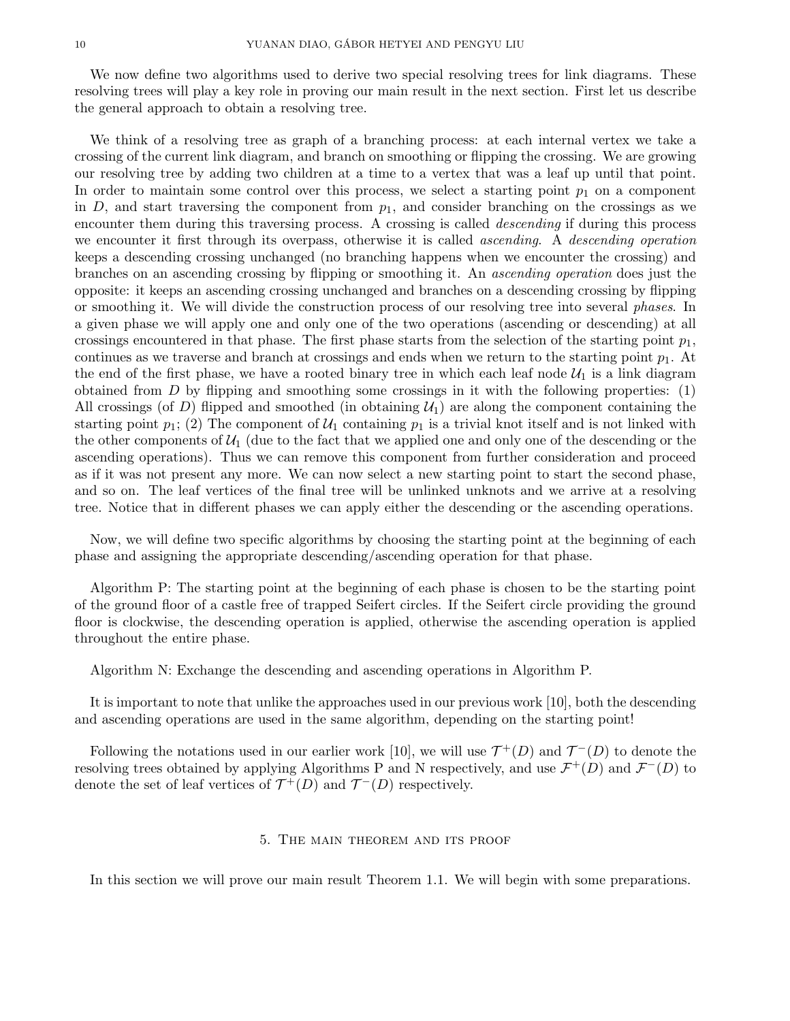We now define two algorithms used to derive two special resolving trees for link diagrams. These resolving trees will play a key role in proving our main result in the next section. First let us describe the general approach to obtain a resolving tree.

We think of a resolving tree as graph of a branching process: at each internal vertex we take a crossing of the current link diagram, and branch on smoothing or flipping the crossing. We are growing our resolving tree by adding two children at a time to a vertex that was a leaf up until that point. In order to maintain some control over this process, we select a starting point  $p_1$  on a component in D, and start traversing the component from  $p_1$ , and consider branching on the crossings as we encounter them during this traversing process. A crossing is called *descending* if during this process we encounter it first through its overpass, otherwise it is called *ascending*. A *descending operation* keeps a descending crossing unchanged (no branching happens when we encounter the crossing) and branches on an ascending crossing by flipping or smoothing it. An ascending operation does just the opposite: it keeps an ascending crossing unchanged and branches on a descending crossing by flipping or smoothing it. We will divide the construction process of our resolving tree into several phases. In a given phase we will apply one and only one of the two operations (ascending or descending) at all crossings encountered in that phase. The first phase starts from the selection of the starting point  $p_1$ , continues as we traverse and branch at crossings and ends when we return to the starting point  $p_1$ . At the end of the first phase, we have a rooted binary tree in which each leaf node  $U_1$  is a link diagram obtained from  $D$  by flipping and smoothing some crossings in it with the following properties:  $(1)$ All crossings (of D) flipped and smoothed (in obtaining  $\mathcal{U}_1$ ) are along the component containing the starting point  $p_1$ ; (2) The component of  $\mathcal{U}_1$  containing  $p_1$  is a trivial knot itself and is not linked with the other components of  $\mathcal{U}_1$  (due to the fact that we applied one and only one of the descending or the ascending operations). Thus we can remove this component from further consideration and proceed as if it was not present any more. We can now select a new starting point to start the second phase, and so on. The leaf vertices of the final tree will be unlinked unknots and we arrive at a resolving tree. Notice that in different phases we can apply either the descending or the ascending operations.

Now, we will define two specific algorithms by choosing the starting point at the beginning of each phase and assigning the appropriate descending/ascending operation for that phase.

Algorithm P: The starting point at the beginning of each phase is chosen to be the starting point of the ground floor of a castle free of trapped Seifert circles. If the Seifert circle providing the ground floor is clockwise, the descending operation is applied, otherwise the ascending operation is applied throughout the entire phase.

Algorithm N: Exchange the descending and ascending operations in Algorithm P.

It is important to note that unlike the approaches used in our previous work [10], both the descending and ascending operations are used in the same algorithm, depending on the starting point!

Following the notations used in our earlier work [10], we will use  $\mathcal{T}^+(D)$  and  $\mathcal{T}^-(D)$  to denote the resolving trees obtained by applying Algorithms P and N respectively, and use  $\mathcal{F}^+(D)$  and  $\mathcal{F}^-(D)$  to denote the set of leaf vertices of  $\mathcal{T}^+(D)$  and  $\mathcal{T}^-(D)$  respectively.

#### 5. The main theorem and its proof

In this section we will prove our main result Theorem 1.1. We will begin with some preparations.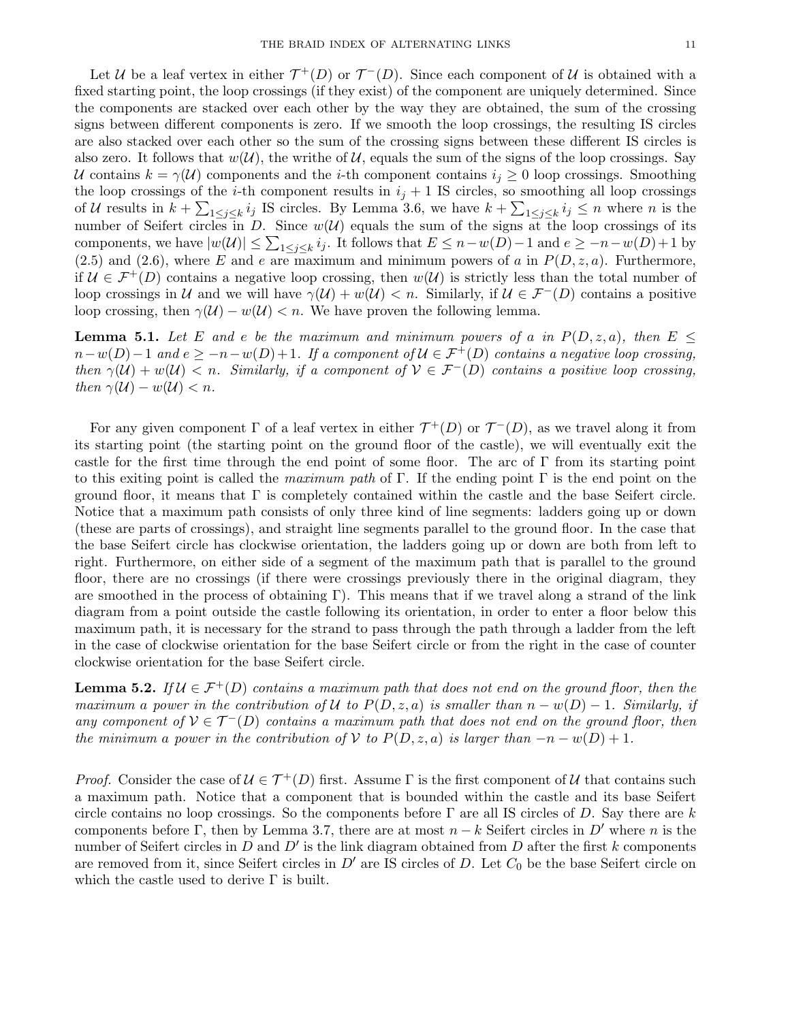Let U be a leaf vertex in either  $\mathcal{T}^+(D)$  or  $\mathcal{T}^-(D)$ . Since each component of U is obtained with a fixed starting point, the loop crossings (if they exist) of the component are uniquely determined. Since the components are stacked over each other by the way they are obtained, the sum of the crossing signs between different components is zero. If we smooth the loop crossings, the resulting IS circles are also stacked over each other so the sum of the crossing signs between these different IS circles is also zero. It follows that  $w(\mathcal{U})$ , the writhe of  $\mathcal{U}$ , equals the sum of the signs of the loop crossings. Say U contains  $k = \gamma(U)$  components and the *i*-th component contains  $i_j \geq 0$  loop crossings. Smoothing the loop crossings of the *i*-th component results in  $i_j + 1$  IS circles, so smoothing all loop crossings of U results in  $k + \sum_{1 \leq j \leq k} i_j$  IS circles. By Lemma 3.6, we have  $k + \sum_{1 \leq j \leq k} i_j \leq n$  where n is the number of Seifert circles in D. Since  $w(\mathcal{U})$  equals the sum of the signs at the loop crossings of its components, we have  $|w(\mathcal{U})| \leq \sum_{1 \leq j \leq k} i_j$ . It follows that  $E \leq n - w(D) - 1$  and  $e \geq -n - w(D) + 1$  by  $(2.5)$  and  $(2.6)$ , where E and e are maximum and minimum powers of a in  $P(D, z, a)$ . Furthermore, if  $U \in \mathcal{F}^+(D)$  contains a negative loop crossing, then  $w(\mathcal{U})$  is strictly less than the total number of loop crossings in U and we will have  $\gamma(\mathcal{U}) + w(\mathcal{U}) < n$ . Similarly, if  $\mathcal{U} \in \mathcal{F}^-(D)$  contains a positive loop crossing, then  $\gamma(\mathcal{U}) - w(\mathcal{U}) < n$ . We have proven the following lemma.

**Lemma 5.1.** Let E and e be the maximum and minimum powers of a in  $P(D, z, a)$ , then  $E \leq$  $n-w(D)-1$  and  $e \geq -n-w(D)+1$ . If a component of  $\mathcal{U} \in \mathcal{F}^+(D)$  contains a negative loop crossing, then  $\gamma(\mathcal{U}) + w(\mathcal{U}) < n$ . Similarly, if a component of  $\mathcal{V} \in \mathcal{F}^{-}(D)$  contains a positive loop crossing, then  $\gamma(\mathcal{U}) - w(\mathcal{U}) < n$ .

For any given component  $\Gamma$  of a leaf vertex in either  $\mathcal{T}^+(D)$  or  $\mathcal{T}^-(D)$ , as we travel along it from its starting point (the starting point on the ground floor of the castle), we will eventually exit the castle for the first time through the end point of some floor. The arc of Γ from its starting point to this exiting point is called the maximum path of Γ. If the ending point Γ is the end point on the ground floor, it means that  $\Gamma$  is completely contained within the castle and the base Seifert circle. Notice that a maximum path consists of only three kind of line segments: ladders going up or down (these are parts of crossings), and straight line segments parallel to the ground floor. In the case that the base Seifert circle has clockwise orientation, the ladders going up or down are both from left to right. Furthermore, on either side of a segment of the maximum path that is parallel to the ground floor, there are no crossings (if there were crossings previously there in the original diagram, they are smoothed in the process of obtaining  $\Gamma$ ). This means that if we travel along a strand of the link diagram from a point outside the castle following its orientation, in order to enter a floor below this maximum path, it is necessary for the strand to pass through the path through a ladder from the left in the case of clockwise orientation for the base Seifert circle or from the right in the case of counter clockwise orientation for the base Seifert circle.

**Lemma 5.2.** If  $\mathcal{U} \in \mathcal{F}^+(D)$  contains a maximum path that does not end on the ground floor, then the maximum a power in the contribution of U to  $P(D, z, a)$  is smaller than  $n - w(D) - 1$ . Similarly, if any component of  $V \in \mathcal{T}^{-}(D)$  contains a maximum path that does not end on the ground floor, then the minimum a power in the contribution of V to  $P(D, z, a)$  is larger than  $-n - w(D) + 1$ .

*Proof.* Consider the case of  $\mathcal{U} \in \mathcal{T}^+(D)$  first. Assume  $\Gamma$  is the first component of  $\mathcal{U}$  that contains such a maximum path. Notice that a component that is bounded within the castle and its base Seifert circle contains no loop crossings. So the components before  $\Gamma$  are all IS circles of D. Say there are k components before Γ, then by Lemma 3.7, there are at most  $n - k$  Seifert circles in D' where n is the number of Seifert circles in  $D$  and  $D'$  is the link diagram obtained from  $D$  after the first k components are removed from it, since Seifert circles in  $D'$  are IS circles of D. Let  $C_0$  be the base Seifert circle on which the castle used to derive  $\Gamma$  is built.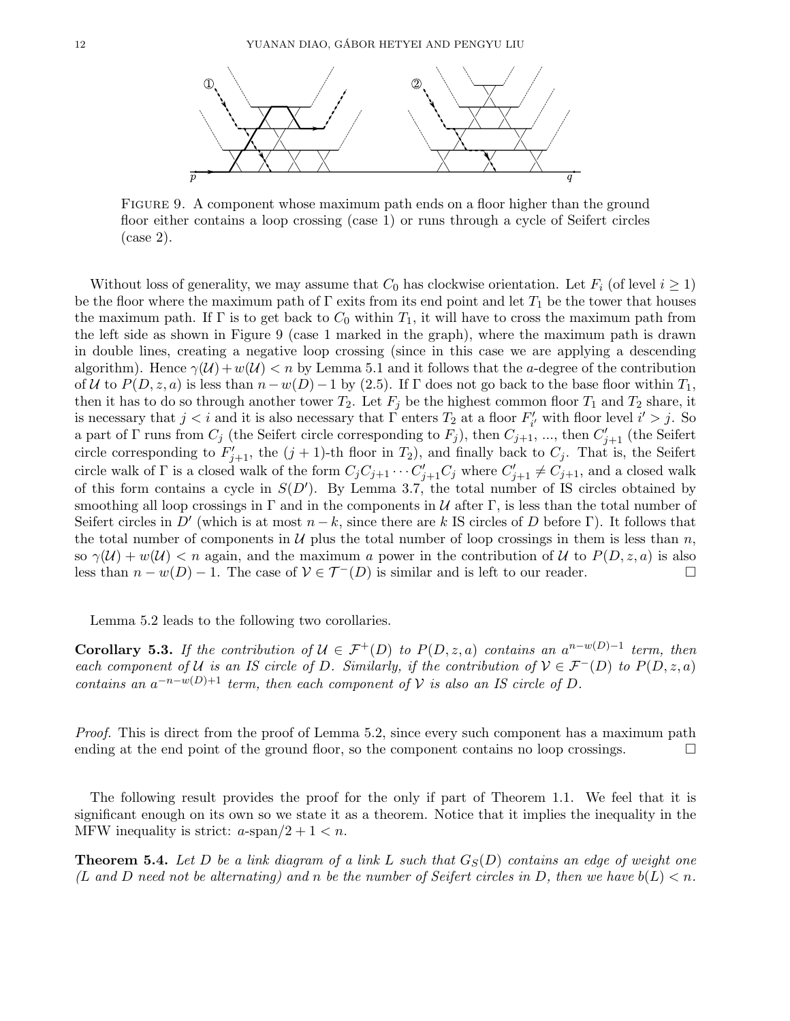

FIGURE 9. A component whose maximum path ends on a floor higher than the ground floor either contains a loop crossing (case 1) or runs through a cycle of Seifert circles (case 2).

Without loss of generality, we may assume that  $C_0$  has clockwise orientation. Let  $F_i$  (of level  $i \geq 1$ ) be the floor where the maximum path of  $\Gamma$  exits from its end point and let  $T_1$  be the tower that houses the maximum path. If  $\Gamma$  is to get back to  $C_0$  within  $T_1$ , it will have to cross the maximum path from the left side as shown in Figure 9 (case 1 marked in the graph), where the maximum path is drawn in double lines, creating a negative loop crossing (since in this case we are applying a descending algorithm). Hence  $\gamma(\mathcal{U})+w(\mathcal{U}) < n$  by Lemma 5.1 and it follows that the a-degree of the contribution of U to  $P(D, z, a)$  is less than  $n-w(D)-1$  by (2.5). If  $\Gamma$  does not go back to the base floor within  $T_1$ , then it has to do so through another tower  $T_2$ . Let  $F_j$  be the highest common floor  $T_1$  and  $T_2$  share, it is necessary that  $j < i$  and it is also necessary that  $\Gamma$  enters  $T_2$  at a floor  $F'_{i'}$  with floor level  $i' > j$ . So a part of  $\Gamma$  runs from  $C_j$  (the Seifert circle corresponding to  $F_j$ ), then  $C_{j+1}$ , ..., then  $C_{j+1}'$  (the Seifert circle corresponding to  $F'_{j+1}$ , the  $(j + 1)$ -th floor in  $T_2$ ), and finally back to  $C_j$ . That is, the Seifert circle walk of  $\Gamma$  is a closed walk of the form  $C_j C_{j+1} \cdots C'_{j+1} C_j$  where  $C'_{j+1} \neq C_{j+1}$ , and a closed walk of this form contains a cycle in  $S(D')$ . By Lemma 3.7, the total number of IS circles obtained by smoothing all loop crossings in Γ and in the components in  $\mathcal U$  after Γ, is less than the total number of Seifert circles in D' (which is at most  $n - k$ , since there are k IS circles of D before Γ). It follows that the total number of components in  $\mathcal U$  plus the total number of loop crossings in them is less than  $n$ , so  $\gamma(\mathcal{U}) + w(\mathcal{U}) < n$  again, and the maximum a power in the contribution of U to  $P(D, z, a)$  is also less than  $n - w(D) - 1$ . The case of  $V \in \mathcal{T}^{-}(D)$  is similar and is left to our reader.  $□$ 

Lemma 5.2 leads to the following two corollaries.

**Corollary 5.3.** If the contribution of  $\mathcal{U} \in \mathcal{F}^+(D)$  to  $P(D, z, a)$  contains an  $a^{n-w(D)-1}$  term, then each component of U is an IS circle of D. Similarly, if the contribution of  $V \in \mathcal{F}^-(D)$  to  $P(D, z, a)$ contains an  $a^{-n-w(D)+1}$  term, then each component of V is also an IS circle of D.

Proof. This is direct from the proof of Lemma 5.2, since every such component has a maximum path ending at the end point of the ground floor, so the component contains no loop crossings.  $\Box$ 

The following result provides the proof for the only if part of Theorem 1.1. We feel that it is significant enough on its own so we state it as a theorem. Notice that it implies the inequality in the MFW inequality is strict:  $a$ -span $/2 + 1 < n$ .

**Theorem 5.4.** Let D be a link diagram of a link L such that  $G_S(D)$  contains an edge of weight one (L and D need not be alternating) and n be the number of Seifert circles in D, then we have  $b(L) < n$ .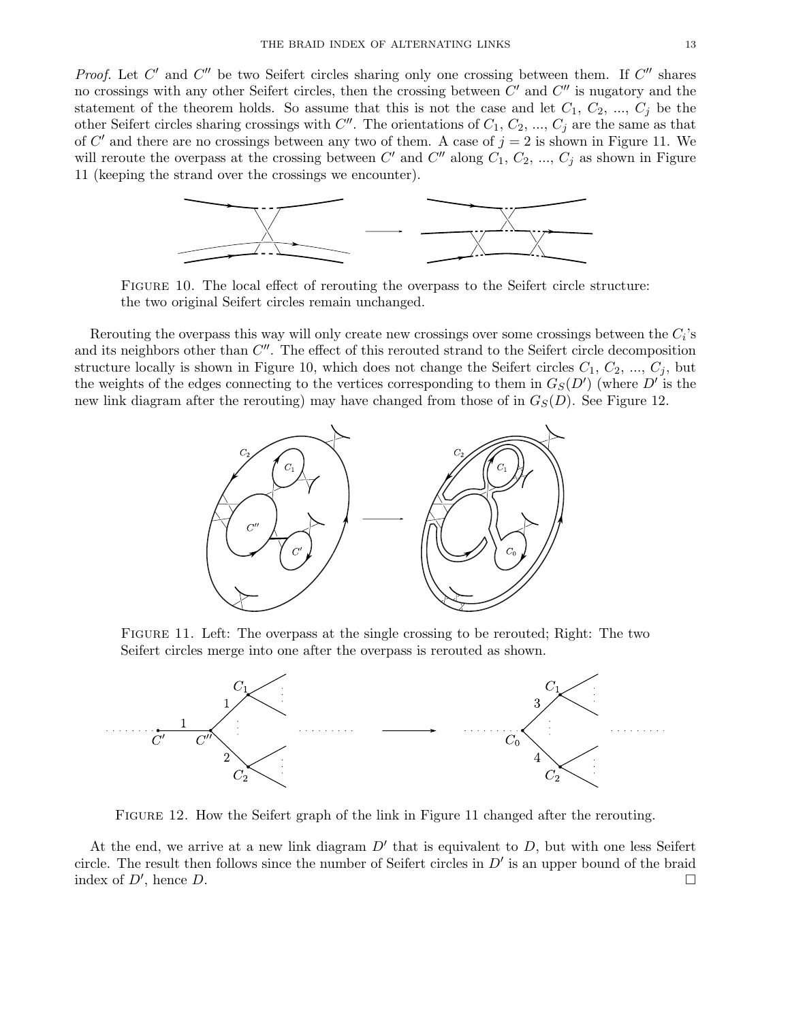Proof. Let  $C'$  and  $C''$  be two Seifert circles sharing only one crossing between them. If  $C''$  shares no crossings with any other Seifert circles, then the crossing between  $C'$  and  $C''$  is nugatory and the statement of the theorem holds. So assume that this is not the case and let  $C_1, C_2, ..., C_j$  be the other Seifert circles sharing crossings with  $C''$ . The orientations of  $C_1, C_2, ..., C_j$  are the same as that of C' and there are no crossings between any two of them. A case of  $j = 2$  is shown in Figure 11. We will reroute the overpass at the crossing between C' and C'' along  $C_1, C_2, ..., C_j$  as shown in Figure 11 (keeping the strand over the crossings we encounter).



Figure 10. The local effect of rerouting the overpass to the Seifert circle structure: the two original Seifert circles remain unchanged.

Rerouting the overpass this way will only create new crossings over some crossings between the  $C_i$ 's and its neighbors other than  $C''$ . The effect of this rerouted strand to the Seifert circle decomposition structure locally is shown in Figure 10, which does not change the Seifert circles  $C_1, C_2, ..., C_j$ , but the weights of the edges connecting to the vertices corresponding to them in  $G_S(D')$  (where  $D'$  is the new link diagram after the rerouting) may have changed from those of in  $G_S(D)$ . See Figure 12.



Figure 11. Left: The overpass at the single crossing to be rerouted; Right: The two Seifert circles merge into one after the overpass is rerouted as shown.



Figure 12. How the Seifert graph of the link in Figure 11 changed after the rerouting.

At the end, we arrive at a new link diagram  $D'$  that is equivalent to  $D$ , but with one less Seifert circle. The result then follows since the number of Seifert circles in  $D'$  is an upper bound of the braid index of  $D'$ , hence  $D$ . , hence  $D$ .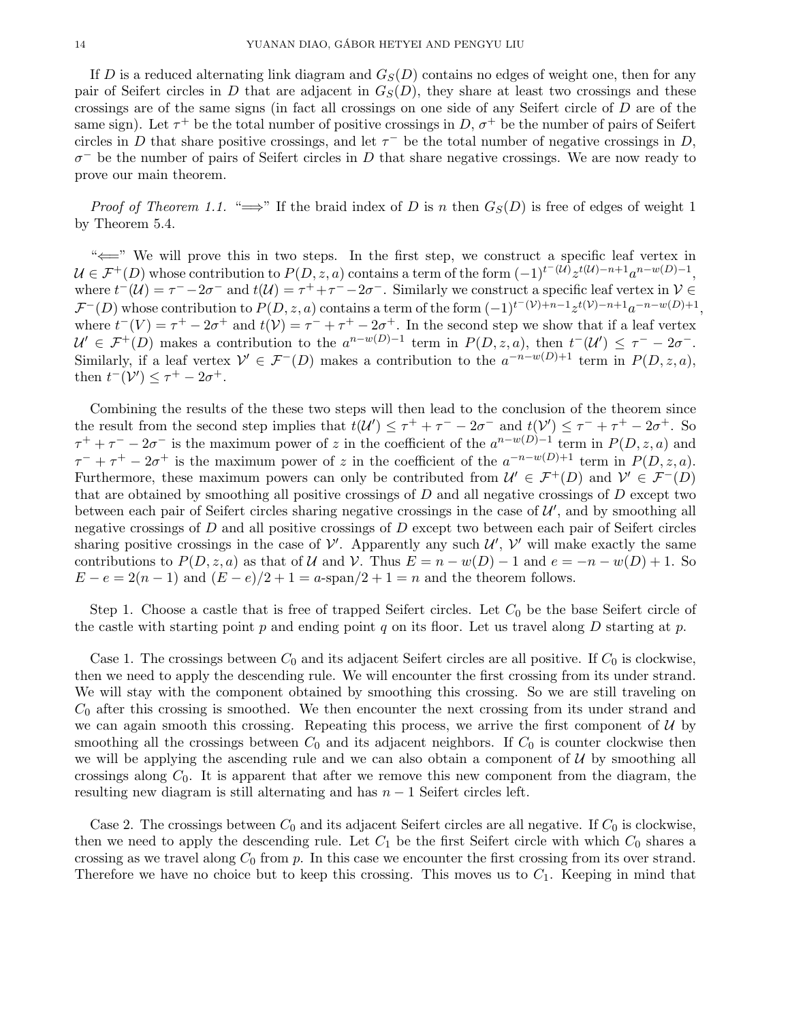If D is a reduced alternating link diagram and  $G<sub>S</sub>(D)$  contains no edges of weight one, then for any pair of Seifert circles in D that are adjacent in  $G<sub>S</sub>(D)$ , they share at least two crossings and these crossings are of the same signs (in fact all crossings on one side of any Seifert circle of D are of the same sign). Let  $\tau^+$  be the total number of positive crossings in D,  $\sigma^+$  be the number of pairs of Seifert circles in D that share positive crossings, and let  $\tau^-$  be the total number of negative crossings in D,  $\sigma^-$  be the number of pairs of Seifert circles in D that share negative crossings. We are now ready to prove our main theorem.

*Proof of Theorem 1.1.* " $\Longrightarrow$ " If the braid index of D is n then  $G_S(D)$  is free of edges of weight 1 by Theorem 5.4.

"⇐=" We will prove this in two steps. In the first step, we construct a specific leaf vertex in  $\mathcal{U} \in \mathcal{F}^+(D)$  whose contribution to  $P(D, z, a)$  contains a term of the form  $(-1)^{t^-(\mathcal{U})} z^{t(\mathcal{U})-n+1} a^{n-w(D)-1}$ , where  $t^-(\mathcal{U}) = \tau^- - 2\sigma^-$  and  $t(\mathcal{U}) = \tau^+ + \tau^- - 2\sigma^-$ . Similarly we construct a specific leaf vertex in  $\mathcal{V} \in$  $\mathcal{F}^-(D)$  whose contribution to  $P(D, z, a)$  contains a term of the form  $(-1)^{t^-(\mathcal{V})+n-1}z^{t(\mathcal{V})-n+1}a^{-n-w(D)+1}$ , where  $t^-(V) = \tau^+ - 2\sigma^+$  and  $t(V) = \tau^- + \tau^+ - 2\sigma^+$ . In the second step we show that if a leaf vertex  $\mathcal{U}' \in \mathcal{F}^+(D)$  makes a contribution to the  $a^{n-w(D)-1}$  term in  $P(D, z, a)$ , then  $t^-(\mathcal{U}') \leq \tau^- - 2\sigma^-$ . Similarly, if a leaf vertex  $\mathcal{V}' \in \mathcal{F}^{-}(D)$  makes a contribution to the  $a^{-n-w(D)+1}$  term in  $P(D, z, a)$ , then  $t^-(\mathcal{V}') \leq \tau^+ - 2\sigma^+$ .

Combining the results of the these two steps will then lead to the conclusion of the theorem since the result from the second step implies that  $t(\mathcal{U}') \leq \tau^+ + \tau^- - 2\sigma^-$  and  $t(\mathcal{V}') \leq \tau^- + \tau^+ - 2\sigma^+$ . So  $\tau^+ + \tau^- - 2\sigma^-$  is the maximum power of z in the coefficient of the  $a^{n-w(D)-1}$  term in  $P(D, z, a)$  and  $\tau^- + \tau^+ - 2\sigma^+$  is the maximum power of z in the coefficient of the  $a^{-n-w(D)+1}$  term in  $P(D, z, a)$ . Furthermore, these maximum powers can only be contributed from  $\mathcal{U}' \in \mathcal{F}^+(D)$  and  $\mathcal{V}' \in \mathcal{F}^-(D)$ that are obtained by smoothing all positive crossings of  $D$  and all negative crossings of  $D$  except two between each pair of Seifert circles sharing negative crossings in the case of  $\mathcal{U}'$ , and by smoothing all negative crossings of  $D$  and all positive crossings of  $D$  except two between each pair of Seifert circles sharing positive crossings in the case of  $\mathcal{V}'$ . Apparently any such  $\mathcal{U}'$ ,  $\mathcal{V}'$  will make exactly the same contributions to  $P(D, z, a)$  as that of U and V. Thus  $E = n - w(D) - 1$  and  $e = -n - w(D) + 1$ . So  $E - e = 2(n-1)$  and  $(E - e)/2 + 1 = a$ -span $/2 + 1 = n$  and the theorem follows.

Step 1. Choose a castle that is free of trapped Seifert circles. Let  $C_0$  be the base Seifert circle of the castle with starting point p and ending point q on its floor. Let us travel along  $D$  starting at p.

Case 1. The crossings between  $C_0$  and its adjacent Seifert circles are all positive. If  $C_0$  is clockwise, then we need to apply the descending rule. We will encounter the first crossing from its under strand. We will stay with the component obtained by smoothing this crossing. So we are still traveling on  $C_0$  after this crossing is smoothed. We then encounter the next crossing from its under strand and we can again smooth this crossing. Repeating this process, we arrive the first component of  $U$  by smoothing all the crossings between  $C_0$  and its adjacent neighbors. If  $C_0$  is counter clockwise then we will be applying the ascending rule and we can also obtain a component of  $U$  by smoothing all crossings along  $C_0$ . It is apparent that after we remove this new component from the diagram, the resulting new diagram is still alternating and has  $n-1$  Seifert circles left.

Case 2. The crossings between  $C_0$  and its adjacent Seifert circles are all negative. If  $C_0$  is clockwise, then we need to apply the descending rule. Let  $C_1$  be the first Seifert circle with which  $C_0$  shares a crossing as we travel along  $C_0$  from p. In this case we encounter the first crossing from its over strand. Therefore we have no choice but to keep this crossing. This moves us to  $C_1$ . Keeping in mind that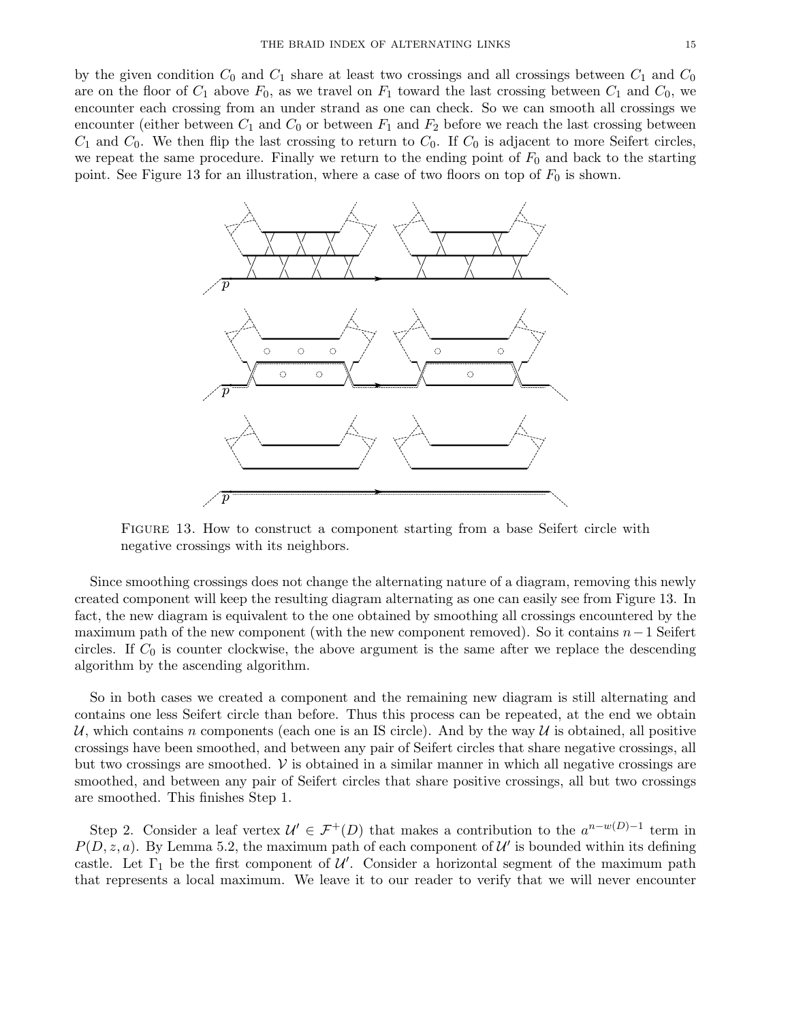by the given condition  $C_0$  and  $C_1$  share at least two crossings and all crossings between  $C_1$  and  $C_0$ are on the floor of  $C_1$  above  $F_0$ , as we travel on  $F_1$  toward the last crossing between  $C_1$  and  $C_0$ , we encounter each crossing from an under strand as one can check. So we can smooth all crossings we encounter (either between  $C_1$  and  $C_0$  or between  $F_1$  and  $F_2$  before we reach the last crossing between  $C_1$  and  $C_0$ . We then flip the last crossing to return to  $C_0$ . If  $C_0$  is adjacent to more Seifert circles, we repeat the same procedure. Finally we return to the ending point of  $F_0$  and back to the starting point. See Figure 13 for an illustration, where a case of two floors on top of  $F_0$  is shown.



Figure 13. How to construct a component starting from a base Seifert circle with negative crossings with its neighbors.

Since smoothing crossings does not change the alternating nature of a diagram, removing this newly created component will keep the resulting diagram alternating as one can easily see from Figure 13. In fact, the new diagram is equivalent to the one obtained by smoothing all crossings encountered by the maximum path of the new component (with the new component removed). So it contains  $n-1$  Seifert circles. If  $C_0$  is counter clockwise, the above argument is the same after we replace the descending algorithm by the ascending algorithm.

So in both cases we created a component and the remaining new diagram is still alternating and contains one less Seifert circle than before. Thus this process can be repeated, at the end we obtain U, which contains n components (each one is an IS circle). And by the way U is obtained, all positive crossings have been smoothed, and between any pair of Seifert circles that share negative crossings, all but two crossings are smoothed.  $\nu$  is obtained in a similar manner in which all negative crossings are smoothed, and between any pair of Seifert circles that share positive crossings, all but two crossings are smoothed. This finishes Step 1.

Step 2. Consider a leaf vertex  $\mathcal{U}' \in \mathcal{F}^+(D)$  that makes a contribution to the  $a^{n-w(D)-1}$  term in  $P(D, z, a)$ . By Lemma 5.2, the maximum path of each component of  $\mathcal{U}'$  is bounded within its defining castle. Let  $\Gamma_1$  be the first component of  $\mathcal{U}'$ . Consider a horizontal segment of the maximum path that represents a local maximum. We leave it to our reader to verify that we will never encounter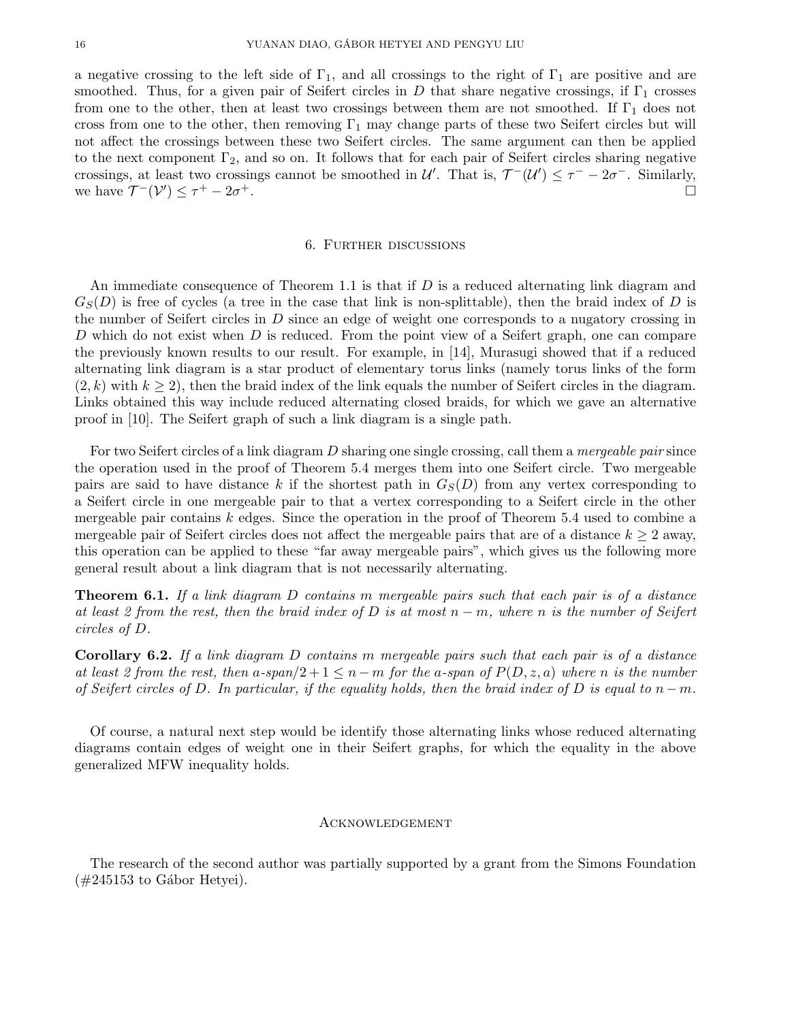a negative crossing to the left side of  $\Gamma_1$ , and all crossings to the right of  $\Gamma_1$  are positive and are smoothed. Thus, for a given pair of Seifert circles in D that share negative crossings, if  $\Gamma_1$  crosses from one to the other, then at least two crossings between them are not smoothed. If  $\Gamma_1$  does not cross from one to the other, then removing  $\Gamma_1$  may change parts of these two Seifert circles but will not affect the crossings between these two Seifert circles. The same argument can then be applied to the next component  $\Gamma_2$ , and so on. It follows that for each pair of Seifert circles sharing negative crossings, at least two crossings cannot be smoothed in  $\mathcal{U}'$ . That is,  $\mathcal{T}^{-}(\mathcal{U}') \leq \tau^{-} - 2\sigma^{-}$ . Similarly, we have  $\mathcal{T}^{-}(\mathcal{V}') \leq \tau^{+} - 2\sigma$ <sup>+</sup>.

### 6. Further discussions

An immediate consequence of Theorem 1.1 is that if  $D$  is a reduced alternating link diagram and  $G<sub>S</sub>(D)$  is free of cycles (a tree in the case that link is non-splittable), then the braid index of D is the number of Seifert circles in D since an edge of weight one corresponds to a nugatory crossing in D which do not exist when D is reduced. From the point view of a Seifert graph, one can compare the previously known results to our result. For example, in [14], Murasugi showed that if a reduced alternating link diagram is a star product of elementary torus links (namely torus links of the form  $(2, k)$  with  $k \geq 2$ ), then the braid index of the link equals the number of Seifert circles in the diagram. Links obtained this way include reduced alternating closed braids, for which we gave an alternative proof in [10]. The Seifert graph of such a link diagram is a single path.

For two Seifert circles of a link diagram D sharing one single crossing, call them a *mergeable pair* since the operation used in the proof of Theorem 5.4 merges them into one Seifert circle. Two mergeable pairs are said to have distance k if the shortest path in  $G<sub>S</sub>(D)$  from any vertex corresponding to a Seifert circle in one mergeable pair to that a vertex corresponding to a Seifert circle in the other mergeable pair contains  $k$  edges. Since the operation in the proof of Theorem 5.4 used to combine a mergeable pair of Seifert circles does not affect the mergeable pairs that are of a distance  $k \geq 2$  away, this operation can be applied to these "far away mergeable pairs", which gives us the following more general result about a link diagram that is not necessarily alternating.

**Theorem 6.1.** If a link diagram D contains m mergeable pairs such that each pair is of a distance at least 2 from the rest, then the braid index of D is at most  $n - m$ , where n is the number of Seifert circles of D.

Corollary 6.2. If a link diagram D contains m mergeable pairs such that each pair is of a distance at least 2 from the rest, then a-span/2 + 1  $\leq$  n – m for the a-span of  $P(D, z, a)$  where n is the number of Seifert circles of D. In particular, if the equality holds, then the braid index of D is equal to  $n-m$ .

Of course, a natural next step would be identify those alternating links whose reduced alternating diagrams contain edges of weight one in their Seifert graphs, for which the equality in the above generalized MFW inequality holds.

# Acknowledgement

The research of the second author was partially supported by a grant from the Simons Foundation  $(\#245153 \text{ to Gábor Hetvei}).$